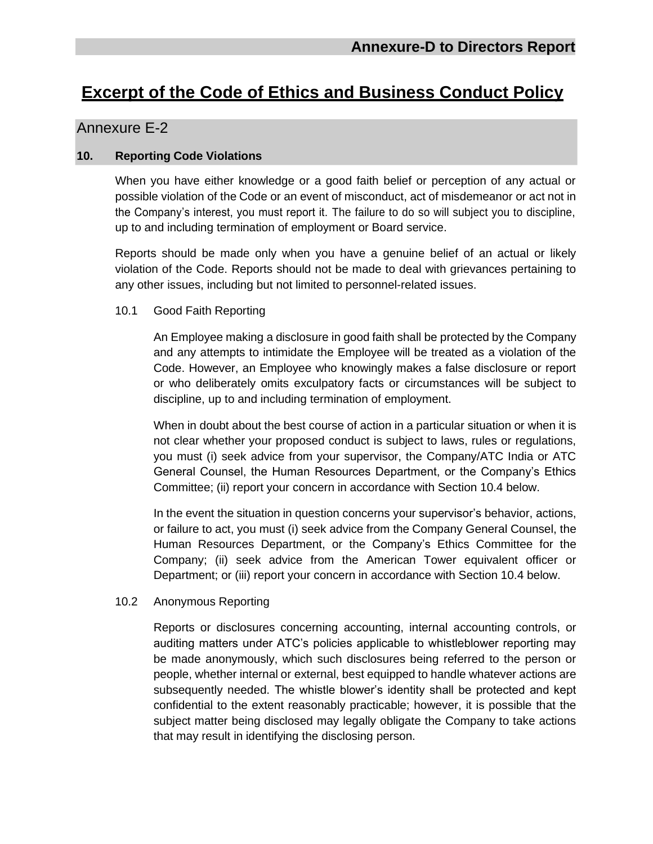# **Excerpt of the Code of Ethics and Business Conduct Policy**

## Annexure E-2

### **10. Reporting Code Violations**

When you have either knowledge or a good faith belief or perception of any actual or possible violation of the Code or an event of misconduct, act of misdemeanor or act not in the Company's interest, you must report it. The failure to do so will subject you to discipline, up to and including termination of employment or Board service.

Reports should be made only when you have a genuine belief of an actual or likely violation of the Code. Reports should not be made to deal with grievances pertaining to any other issues, including but not limited to personnel-related issues.

#### 10.1 Good Faith Reporting

An Employee making a disclosure in good faith shall be protected by the Company and any attempts to intimidate the Employee will be treated as a violation of the Code. However, an Employee who knowingly makes a false disclosure or report or who deliberately omits exculpatory facts or circumstances will be subject to discipline, up to and including termination of employment.

When in doubt about the best course of action in a particular situation or when it is not clear whether your proposed conduct is subject to laws, rules or regulations, you must (i) seek advice from your supervisor, the Company/ATC India or ATC General Counsel, the Human Resources Department, or the Company's Ethics Committee; (ii) report your concern in accordance with Section 10.4 below.

In the event the situation in question concerns your supervisor's behavior, actions, or failure to act, you must (i) seek advice from the Company General Counsel, the Human Resources Department, or the Company's Ethics Committee for the Company; (ii) seek advice from the American Tower equivalent officer or Department; or (iii) report your concern in accordance with Section 10.4 below.

#### 10.2 Anonymous Reporting

Reports or disclosures concerning accounting, internal accounting controls, or auditing matters under ATC's policies applicable to whistleblower reporting may be made anonymously, which such disclosures being referred to the person or people, whether internal or external, best equipped to handle whatever actions are subsequently needed. The whistle blower's identity shall be protected and kept confidential to the extent reasonably practicable; however, it is possible that the subject matter being disclosed may legally obligate the Company to take actions that may result in identifying the disclosing person.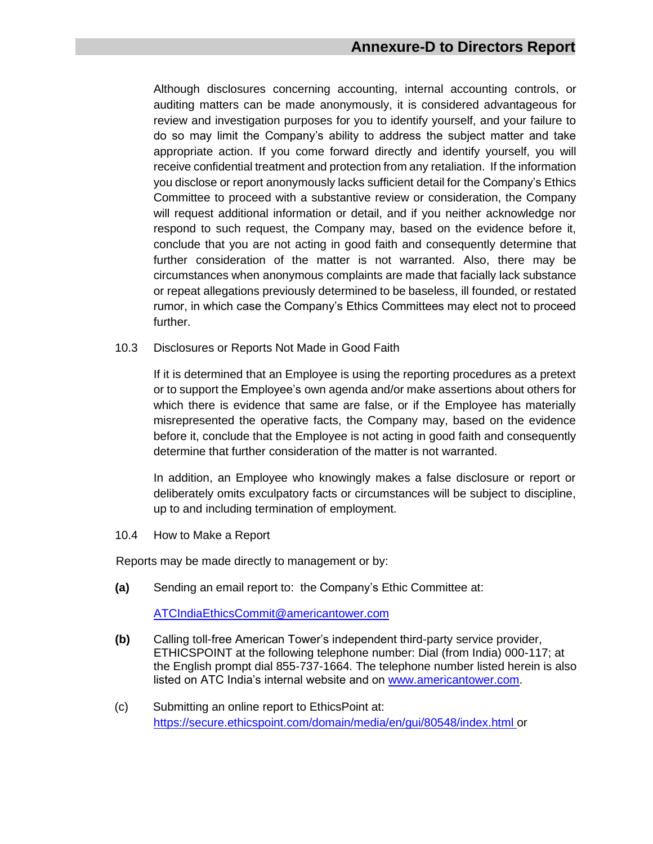Although disclosures concerning accounting, internal accounting controls, or auditing matters can be made anonymously, it is considered advantageous for review and investigation purposes for you to identify yourself, and your failure to do so may limit the Company's ability to address the subject matter and take appropriate action. If you come forward directly and identify yourself, you will receive confidential treatment and protection from any retaliation. If the information you disclose or report anonymously lacks sufficient detail for the Company's Ethics Committee to proceed with a substantive review or consideration, the Company will request additional information or detail, and if you neither acknowledge nor respond to such request, the Company may, based on the evidence before it, conclude that you are not acting in good faith and consequently determine that further consideration of the matter is not warranted. Also, there may be circumstances when anonymous complaints are made that facially lack substance or repeat allegations previously determined to be baseless, ill founded, or restated rumor, in which case the Company's Ethics Committees may elect not to proceed further.

10.3 Disclosures or Reports Not Made in Good Faith

If it is determined that an Employee is using the reporting procedures as a pretext or to support the Employee's own agenda and/or make assertions about others for which there is evidence that same are false, or if the Employee has materially misrepresented the operative facts, the Company may, based on the evidence before it, conclude that the Employee is not acting in good faith and consequently determine that further consideration of the matter is not warranted.

In addition, an Employee who knowingly makes a false disclosure or report or deliberately omits exculpatory facts or circumstances will be subject to discipline, up to and including termination of employment.

10.4 How to Make a Report

Reports may be made directly to management or by:

**(a)** Sending an email report to: the Company's Ethic Committee at:

[ATCIndiaEthicsCommit@americantower.com](mailto:ATCIndiaEthicsCommit@americantower.com)

- **(b)** Calling toll-free American Tower's independent third-party service provider, ETHICSPOINT at the following telephone number: Dial (from India) 000-117; at the English prompt dial 855-737-1664. The telephone number listed herein is also listed on ATC India's internal website and on [www.americantower.com.](http://www.americantower.com/)
- (c) Submitting an online report to EthicsPoint at: https://secure.ethicspoint.com/domain/media/en/gui/80548/index.html or